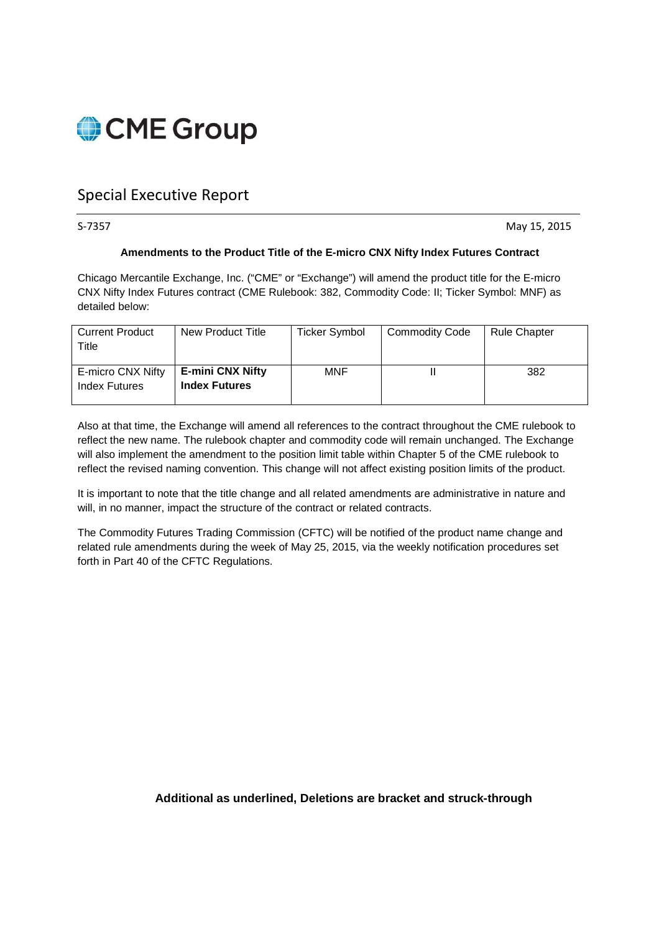

# Special Executive Report

S-7357 May 15, 2015

## **Amendments to the Product Title of the E-micro CNX Nifty Index Futures Contract**

Chicago Mercantile Exchange, Inc. ("CME" or "Exchange") will amend the product title for the E-micro CNX Nifty Index Futures contract (CME Rulebook: 382, Commodity Code: II; Ticker Symbol: MNF) as detailed below:

| <b>Current Product</b><br>Title    | New Product Title                               | <b>Ticker Symbol</b> | <b>Commodity Code</b> | <b>Rule Chapter</b> |
|------------------------------------|-------------------------------------------------|----------------------|-----------------------|---------------------|
| E-micro CNX Nifty<br>Index Futures | <b>E-mini CNX Nifty</b><br><b>Index Futures</b> | <b>MNF</b>           |                       | 382                 |

Also at that time, the Exchange will amend all references to the contract throughout the CME rulebook to reflect the new name. The rulebook chapter and commodity code will remain unchanged. The Exchange will also implement the amendment to the position limit table within Chapter 5 of the CME rulebook to reflect the revised naming convention. This change will not affect existing position limits of the product.

It is important to note that the title change and all related amendments are administrative in nature and will, in no manner, impact the structure of the contract or related contracts.

The Commodity Futures Trading Commission (CFTC) will be notified of the product name change and related rule amendments during the week of May 25, 2015, via the weekly notification procedures set forth in Part 40 of the CFTC Regulations.

# **Additional as underlined, Deletions are bracket and struck-through**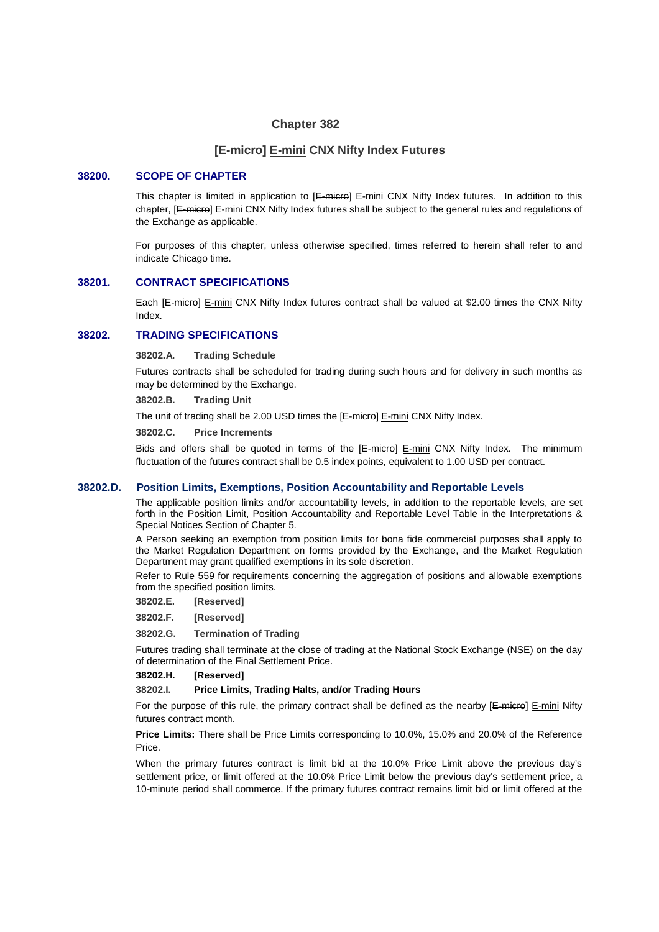### **Chapter 382**

### **[E-micro] E-mini CNX Nifty Index Futures**

### **38200. SCOPE OF CHAPTER**

This chapter is limited in application to  $E=\text{micro}$   $E=\text{mini}$  CNX Nifty Index futures. In addition to this chapter, [E-micro] E-mini CNX Nifty Index futures shall be subject to the general rules and regulations of the Exchange as applicable.

For purposes of this chapter, unless otherwise specified, times referred to herein shall refer to and indicate Chicago time.

#### **38201. CONTRACT SPECIFICATIONS**

Each [E-micro] E-mini CNX Nifty Index futures contract shall be valued at \$2.00 times the CNX Nifty Index.

# **38202. TRADING SPECIFICATIONS**

**38202.A. Trading Schedule** 

Futures contracts shall be scheduled for trading during such hours and for delivery in such months as may be determined by the Exchange.

**38202.B. Trading Unit** 

The unit of trading shall be 2.00 USD times the [E-micro] E-mini CNX Nifty Index.

**38202.C. Price Increments** 

Bids and offers shall be quoted in terms of the  $E$ -micro]  $E$ -mini CNX Nifty Index. The minimum fluctuation of the futures contract shall be 0.5 index points, equivalent to 1.00 USD per contract.

#### **38202.D. Position Limits, Exemptions, Position Accountability and Reportable Levels**

The applicable position limits and/or accountability levels, in addition to the reportable levels, are set forth in the Position Limit, Position Accountability and Reportable Level Table in the Interpretations & Special Notices Section of Chapter 5.

A Person seeking an exemption from position limits for bona fide commercial purposes shall apply to the Market Regulation Department on forms provided by the Exchange, and the Market Regulation Department may grant qualified exemptions in its sole discretion.

Refer to Rule 559 for requirements concerning the aggregation of positions and allowable exemptions from the specified position limits.

**38202.E. [Reserved]** 

**38202.F. [Reserved]** 

**38202.G. Termination of Trading**

Futures trading shall terminate at the close of trading at the National Stock Exchange (NSE) on the day of determination of the Final Settlement Price.

**38202.H. [Reserved]** 

#### **38202.I. Price Limits, Trading Halts, and/or Trading Hours**

For the purpose of this rule, the primary contract shall be defined as the nearby  $E$ -micro]  $E$ -mini Nifty futures contract month.

**Price Limits:** There shall be Price Limits corresponding to 10.0%, 15.0% and 20.0% of the Reference Price.

When the primary futures contract is limit bid at the 10.0% Price Limit above the previous day's settlement price, or limit offered at the 10.0% Price Limit below the previous day's settlement price, a 10-minute period shall commerce. If the primary futures contract remains limit bid or limit offered at the